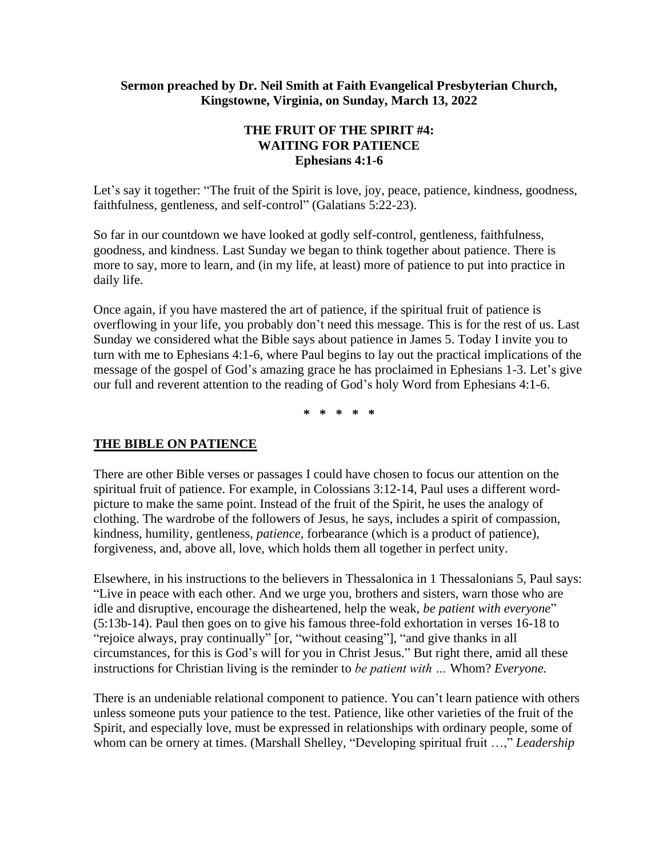#### **Sermon preached by Dr. Neil Smith at Faith Evangelical Presbyterian Church, Kingstowne, Virginia, on Sunday, March 13, 2022**

# **THE FRUIT OF THE SPIRIT #4: WAITING FOR PATIENCE Ephesians 4:1-6**

Let's say it together: "The fruit of the Spirit is love, joy, peace, patience, kindness, goodness, faithfulness, gentleness, and self-control" (Galatians 5:22-23).

So far in our countdown we have looked at godly self-control, gentleness, faithfulness, goodness, and kindness. Last Sunday we began to think together about patience. There is more to say, more to learn, and (in my life, at least) more of patience to put into practice in daily life.

Once again, if you have mastered the art of patience, if the spiritual fruit of patience is overflowing in your life, you probably don't need this message. This is for the rest of us. Last Sunday we considered what the Bible says about patience in James 5. Today I invite you to turn with me to Ephesians 4:1-6, where Paul begins to lay out the practical implications of the message of the gospel of God's amazing grace he has proclaimed in Ephesians 1-3. Let's give our full and reverent attention to the reading of God's holy Word from Ephesians 4:1-6.

**\* \* \* \* \***

# **THE BIBLE ON PATIENCE**

There are other Bible verses or passages I could have chosen to focus our attention on the spiritual fruit of patience. For example, in Colossians 3:12-14, Paul uses a different wordpicture to make the same point. Instead of the fruit of the Spirit, he uses the analogy of clothing. The wardrobe of the followers of Jesus, he says, includes a spirit of compassion, kindness, humility, gentleness, *patience,* forbearance (which is a product of patience), forgiveness, and, above all, love, which holds them all together in perfect unity.

Elsewhere, in his instructions to the believers in Thessalonica in 1 Thessalonians 5, Paul says: "Live in peace with each other. And we urge you, brothers and sisters, warn those who are idle and disruptive, encourage the disheartened, help the weak, *be patient with everyone*" (5:13b-14). Paul then goes on to give his famous three-fold exhortation in verses 16-18 to "rejoice always, pray continually" [or, "without ceasing"], "and give thanks in all circumstances, for this is God's will for you in Christ Jesus." But right there, amid all these instructions for Christian living is the reminder to *be patient with …* Whom? *Everyone.*

There is an undeniable relational component to patience. You can't learn patience with others unless someone puts your patience to the test. Patience, like other varieties of the fruit of the Spirit, and especially love, must be expressed in relationships with ordinary people, some of whom can be ornery at times. (Marshall Shelley, "Developing spiritual fruit ...," *Leadership*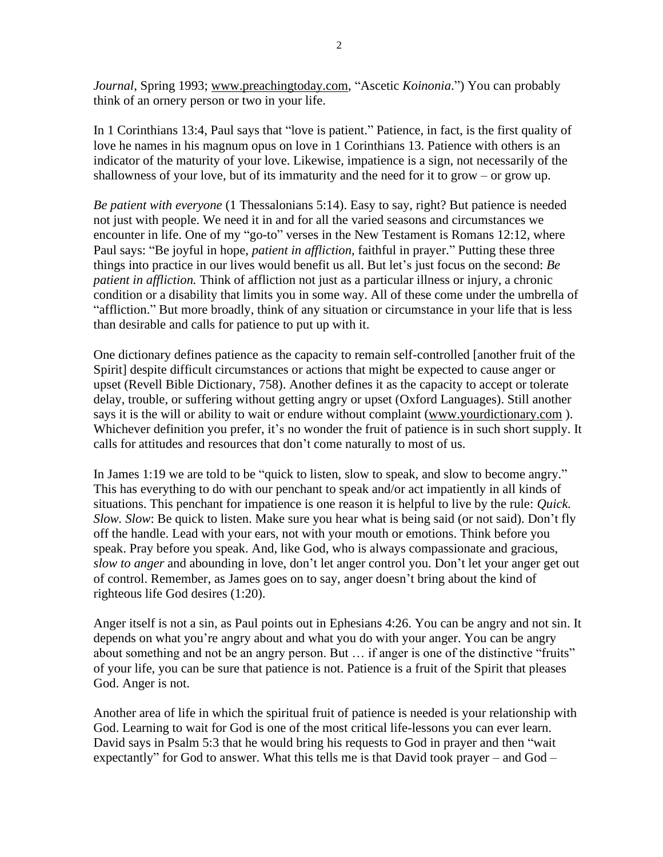*Journal*, Spring 1993; [www.preachingtoday.com,](http://www.preachingtoday.com/) "Ascetic *Koinonia*.") You can probably think of an ornery person or two in your life.

In 1 Corinthians 13:4, Paul says that "love is patient." Patience, in fact, is the first quality of love he names in his magnum opus on love in 1 Corinthians 13. Patience with others is an indicator of the maturity of your love. Likewise, impatience is a sign, not necessarily of the shallowness of your love, but of its immaturity and the need for it to grow – or grow up.

*Be patient with everyone* (1 Thessalonians 5:14). Easy to say, right? But patience is needed not just with people. We need it in and for all the varied seasons and circumstances we encounter in life. One of my "go-to" verses in the New Testament is Romans 12:12, where Paul says: "Be joyful in hope, *patient in affliction*, faithful in prayer." Putting these three things into practice in our lives would benefit us all. But let's just focus on the second: *Be patient in affliction.* Think of affliction not just as a particular illness or injury, a chronic condition or a disability that limits you in some way. All of these come under the umbrella of "affliction." But more broadly, think of any situation or circumstance in your life that is less than desirable and calls for patience to put up with it.

One dictionary defines patience as the capacity to remain self-controlled [another fruit of the Spirit] despite difficult circumstances or actions that might be expected to cause anger or upset (Revell Bible Dictionary, 758). Another defines it as the capacity to accept or tolerate delay, trouble, or suffering without getting angry or upset (Oxford Languages). Still another says it is the will or ability to wait or endure without complaint [\(www.yourdictionary.com](http://www.yourdictionary.com/) ). Whichever definition you prefer, it's no wonder the fruit of patience is in such short supply. It calls for attitudes and resources that don't come naturally to most of us.

In James 1:19 we are told to be "quick to listen, slow to speak, and slow to become angry." This has everything to do with our penchant to speak and/or act impatiently in all kinds of situations. This penchant for impatience is one reason it is helpful to live by the rule: *Quick. Slow. Slow*: Be quick to listen. Make sure you hear what is being said (or not said). Don't fly off the handle. Lead with your ears, not with your mouth or emotions. Think before you speak. Pray before you speak. And, like God, who is always compassionate and gracious, *slow to anger* and abounding in love, don't let anger control you. Don't let your anger get out of control. Remember, as James goes on to say, anger doesn't bring about the kind of righteous life God desires (1:20).

Anger itself is not a sin, as Paul points out in Ephesians 4:26. You can be angry and not sin. It depends on what you're angry about and what you do with your anger. You can be angry about something and not be an angry person. But … if anger is one of the distinctive "fruits" of your life, you can be sure that patience is not. Patience is a fruit of the Spirit that pleases God. Anger is not.

Another area of life in which the spiritual fruit of patience is needed is your relationship with God. Learning to wait for God is one of the most critical life-lessons you can ever learn. David says in Psalm 5:3 that he would bring his requests to God in prayer and then "wait expectantly" for God to answer. What this tells me is that David took prayer – and God –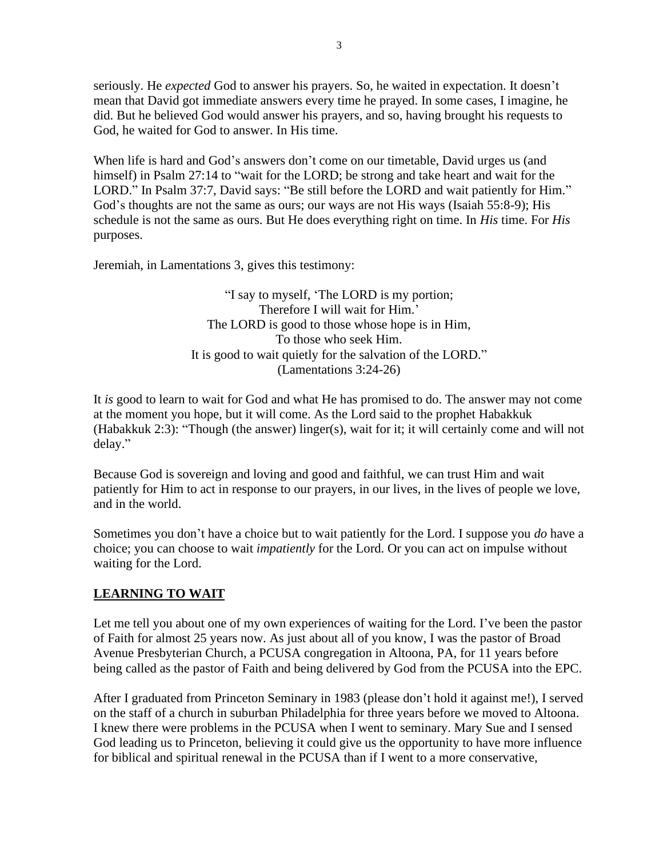seriously. He *expected* God to answer his prayers. So, he waited in expectation. It doesn't mean that David got immediate answers every time he prayed. In some cases, I imagine, he did. But he believed God would answer his prayers, and so, having brought his requests to God, he waited for God to answer. In His time.

When life is hard and God's answers don't come on our timetable, David urges us (and himself) in Psalm 27:14 to "wait for the LORD; be strong and take heart and wait for the LORD." In Psalm 37:7, David says: "Be still before the LORD and wait patiently for Him." God's thoughts are not the same as ours; our ways are not His ways (Isaiah 55:8-9); His schedule is not the same as ours. But He does everything right on time. In *His* time. For *His*  purposes.

Jeremiah, in Lamentations 3, gives this testimony:

"I say to myself, 'The LORD is my portion; Therefore I will wait for Him.' The LORD is good to those whose hope is in Him, To those who seek Him. It is good to wait quietly for the salvation of the LORD." (Lamentations 3:24-26)

It *is* good to learn to wait for God and what He has promised to do. The answer may not come at the moment you hope, but it will come. As the Lord said to the prophet Habakkuk (Habakkuk 2:3): "Though (the answer) linger(s), wait for it; it will certainly come and will not delay."

Because God is sovereign and loving and good and faithful, we can trust Him and wait patiently for Him to act in response to our prayers, in our lives, in the lives of people we love, and in the world.

Sometimes you don't have a choice but to wait patiently for the Lord. I suppose you *do* have a choice; you can choose to wait *impatiently* for the Lord. Or you can act on impulse without waiting for the Lord.

# **LEARNING TO WAIT**

Let me tell you about one of my own experiences of waiting for the Lord. I've been the pastor of Faith for almost 25 years now. As just about all of you know, I was the pastor of Broad Avenue Presbyterian Church, a PCUSA congregation in Altoona, PA, for 11 years before being called as the pastor of Faith and being delivered by God from the PCUSA into the EPC.

After I graduated from Princeton Seminary in 1983 (please don't hold it against me!), I served on the staff of a church in suburban Philadelphia for three years before we moved to Altoona. I knew there were problems in the PCUSA when I went to seminary. Mary Sue and I sensed God leading us to Princeton, believing it could give us the opportunity to have more influence for biblical and spiritual renewal in the PCUSA than if I went to a more conservative,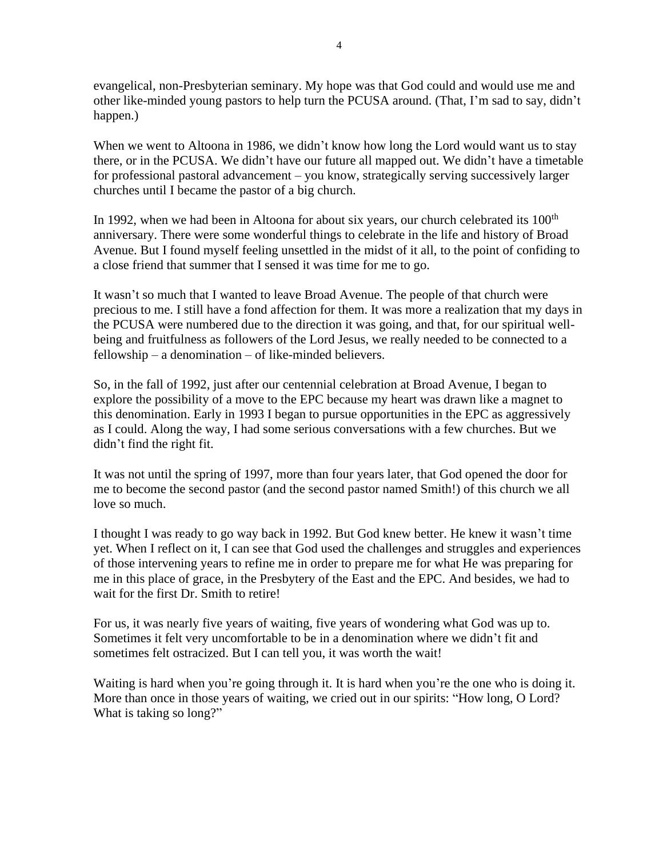evangelical, non-Presbyterian seminary. My hope was that God could and would use me and other like-minded young pastors to help turn the PCUSA around. (That, I'm sad to say, didn't happen.)

When we went to Altoona in 1986, we didn't know how long the Lord would want us to stay there, or in the PCUSA. We didn't have our future all mapped out. We didn't have a timetable for professional pastoral advancement – you know, strategically serving successively larger churches until I became the pastor of a big church.

In 1992, when we had been in Altoona for about six years, our church celebrated its 100<sup>th</sup> anniversary. There were some wonderful things to celebrate in the life and history of Broad Avenue. But I found myself feeling unsettled in the midst of it all, to the point of confiding to a close friend that summer that I sensed it was time for me to go.

It wasn't so much that I wanted to leave Broad Avenue. The people of that church were precious to me. I still have a fond affection for them. It was more a realization that my days in the PCUSA were numbered due to the direction it was going, and that, for our spiritual wellbeing and fruitfulness as followers of the Lord Jesus, we really needed to be connected to a fellowship – a denomination – of like-minded believers.

So, in the fall of 1992, just after our centennial celebration at Broad Avenue, I began to explore the possibility of a move to the EPC because my heart was drawn like a magnet to this denomination. Early in 1993 I began to pursue opportunities in the EPC as aggressively as I could. Along the way, I had some serious conversations with a few churches. But we didn't find the right fit.

It was not until the spring of 1997, more than four years later, that God opened the door for me to become the second pastor (and the second pastor named Smith!) of this church we all love so much.

I thought I was ready to go way back in 1992. But God knew better. He knew it wasn't time yet. When I reflect on it, I can see that God used the challenges and struggles and experiences of those intervening years to refine me in order to prepare me for what He was preparing for me in this place of grace, in the Presbytery of the East and the EPC. And besides, we had to wait for the first Dr. Smith to retire!

For us, it was nearly five years of waiting, five years of wondering what God was up to. Sometimes it felt very uncomfortable to be in a denomination where we didn't fit and sometimes felt ostracized. But I can tell you, it was worth the wait!

Waiting is hard when you're going through it. It is hard when you're the one who is doing it. More than once in those years of waiting, we cried out in our spirits: "How long, O Lord? What is taking so long?"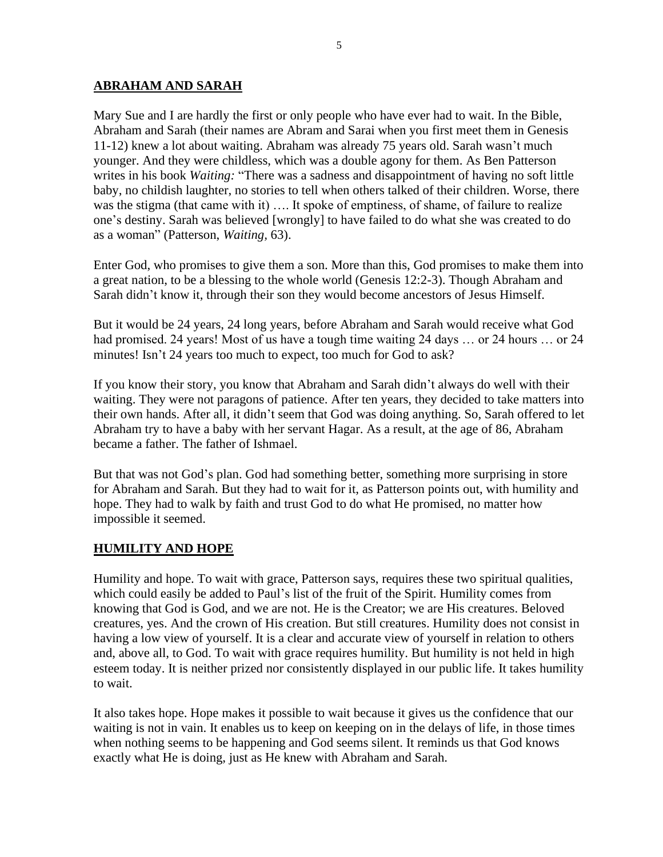#### **ABRAHAM AND SARAH**

Mary Sue and I are hardly the first or only people who have ever had to wait. In the Bible, Abraham and Sarah (their names are Abram and Sarai when you first meet them in Genesis 11-12) knew a lot about waiting. Abraham was already 75 years old. Sarah wasn't much younger. And they were childless, which was a double agony for them. As Ben Patterson writes in his book *Waiting:* "There was a sadness and disappointment of having no soft little baby, no childish laughter, no stories to tell when others talked of their children. Worse, there was the stigma (that came with it) .... It spoke of emptiness, of shame, of failure to realize one's destiny. Sarah was believed [wrongly] to have failed to do what she was created to do as a woman" (Patterson, *Waiting,* 63).

Enter God, who promises to give them a son. More than this, God promises to make them into a great nation, to be a blessing to the whole world (Genesis 12:2-3). Though Abraham and Sarah didn't know it, through their son they would become ancestors of Jesus Himself.

But it would be 24 years, 24 long years, before Abraham and Sarah would receive what God had promised. 24 years! Most of us have a tough time waiting 24 days ... or 24 hours ... or 24 minutes! Isn't 24 years too much to expect, too much for God to ask?

If you know their story, you know that Abraham and Sarah didn't always do well with their waiting. They were not paragons of patience. After ten years, they decided to take matters into their own hands. After all, it didn't seem that God was doing anything. So, Sarah offered to let Abraham try to have a baby with her servant Hagar. As a result, at the age of 86, Abraham became a father. The father of Ishmael.

But that was not God's plan. God had something better, something more surprising in store for Abraham and Sarah. But they had to wait for it, as Patterson points out, with humility and hope. They had to walk by faith and trust God to do what He promised, no matter how impossible it seemed.

# **HUMILITY AND HOPE**

Humility and hope. To wait with grace, Patterson says, requires these two spiritual qualities, which could easily be added to Paul's list of the fruit of the Spirit. Humility comes from knowing that God is God, and we are not. He is the Creator; we are His creatures. Beloved creatures, yes. And the crown of His creation. But still creatures. Humility does not consist in having a low view of yourself. It is a clear and accurate view of yourself in relation to others and, above all, to God. To wait with grace requires humility. But humility is not held in high esteem today. It is neither prized nor consistently displayed in our public life. It takes humility to wait.

It also takes hope. Hope makes it possible to wait because it gives us the confidence that our waiting is not in vain. It enables us to keep on keeping on in the delays of life, in those times when nothing seems to be happening and God seems silent. It reminds us that God knows exactly what He is doing, just as He knew with Abraham and Sarah.